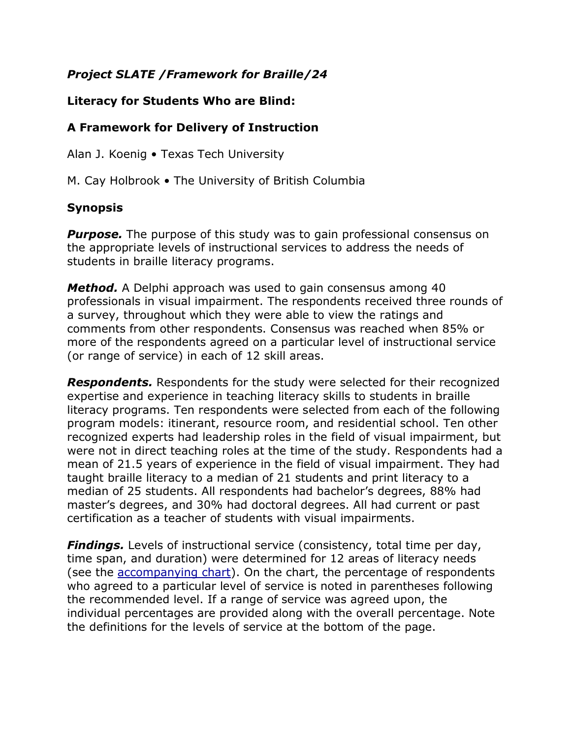## *Project SLATE /Framework for Braille/24*

## **Literacy for Students Who are Blind:**

## **A Framework for Delivery of Instruction**

Alan J. Koenig • Texas Tech University

M. Cay Holbrook • The University of British Columbia

## **Synopsis**

**Purpose.** The purpose of this study was to gain professional consensus on the appropriate levels of instructional services to address the needs of students in braille literacy programs.

*Method.* A Delphi approach was used to gain consensus among 40 professionals in visual impairment. The respondents received three rounds of a survey, throughout which they were able to view the ratings and comments from other respondents. Consensus was reached when 85% or more of the respondents agreed on a particular level of instructional service (or range of service) in each of 12 skill areas.

*Respondents.* Respondents for the study were selected for their recognized expertise and experience in teaching literacy skills to students in braille literacy programs. Ten respondents were selected from each of the following program models: itinerant, resource room, and residential school. Ten other recognized experts had leadership roles in the field of visual impairment, but were not in direct teaching roles at the time of the study. Respondents had a mean of 21.5 years of experience in the field of visual impairment. They had taught braille literacy to a median of 21 students and print literacy to a median of 25 students. All respondents had bachelor's degrees, 88% had master's degrees, and 30% had doctoral degrees. All had current or past certification as a teacher of students with visual impairments.

*Findings.* Levels of instructional service (consistency, total time per day, time span, and duration) were determined for 12 areas of literacy needs (see the [accompanying chart\)](../../../AppData/Local/Temp/braille-framework/BrailleChart.htm). On the chart, the percentage of respondents who agreed to a particular level of service is noted in parentheses following the recommended level. If a range of service was agreed upon, the individual percentages are provided along with the overall percentage. Note the definitions for the levels of service at the bottom of the page.